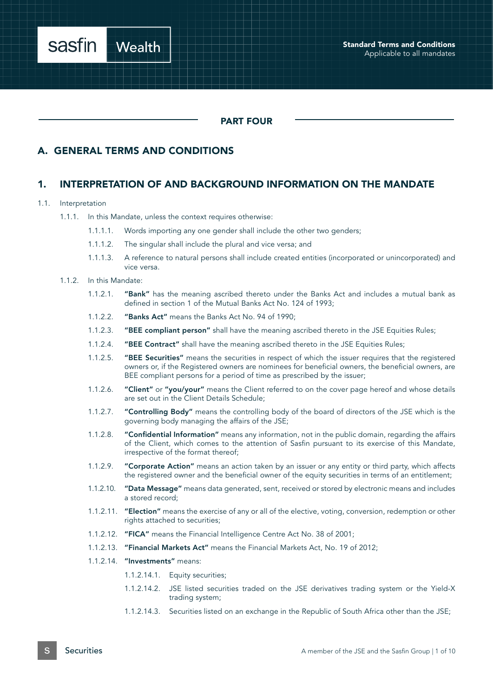

#### PART FOUR

#### A. GENERAL TERMS AND CONDITIONS

#### 1. INTERPRETATION OF AND BACKGROUND INFORMATION ON THE MANDATE

#### 1.1. Interpretation

- 1.1.1.1. Words importing any one gender shall include the other two genders;
- 1.1.1.2. The singular shall include the plural and vice versa; and
- 1.1.1.3. A reference to natural persons shall include created entities (incorporated or unincorporated) and vice versa.
- 1.1.2. In this Mandate:
	- 1.1.2.1. "Bank" has the meaning ascribed thereto under the Banks Act and includes a mutual bank as defined in section 1 of the Mutual Banks Act No. 124 of 1993;
	- 1.1.2.2. "Banks Act" means the Banks Act No. 94 of 1990;
	- 1.1.2.3. "BEE compliant person" shall have the meaning ascribed thereto in the JSE Equities Rules;
	- 1.1.2.4. "BEE Contract" shall have the meaning ascribed thereto in the JSE Equities Rules;
	- 1.1.2.5. "BEE Securities" means the securities in respect of which the issuer requires that the registered owners or, if the Registered owners are nominees for beneficial owners, the beneficial owners, are BEE compliant persons for a period of time as prescribed by the issuer;
	- 1.1.2.6. "Client" or "you/your" means the Client referred to on the cover page hereof and whose details are set out in the Client Details Schedule;
	- 1.1.2.7. "Controlling Body" means the controlling body of the board of directors of the JSE which is the governing body managing the affairs of the JSE;
	- 1.1.2.8. "Confidential Information" means any information, not in the public domain, regarding the affairs of the Client, which comes to the attention of Sasfin pursuant to its exercise of this Mandate, irrespective of the format thereof;
	- 1.1.2.9. "Corporate Action" means an action taken by an issuer or any entity or third party, which affects the registered owner and the beneficial owner of the equity securities in terms of an entitlement;
	- 1.1.2.10. "Data Message" means data generated, sent, received or stored by electronic means and includes a stored record;
	- 1.1.2.11. "Election" means the exercise of any or all of the elective, voting, conversion, redemption or other rights attached to securities;
	- 1.1.2.12. "FICA" means the Financial Intelligence Centre Act No. 38 of 2001;
	- 1.1.2.13. "Financial Markets Act" means the Financial Markets Act, No. 19 of 2012;
	- 1.1.2.14. "Investments" means:
		- 1.1.2.14.1. Equity securities;
		- 1.1.2.14.2. JSE listed securities traded on the JSE derivatives trading system or the Yield-X trading system;
		- 1.1.2.14.3. Securities listed on an exchange in the Republic of South Africa other than the JSE;

<sup>1.1.1.</sup> In this Mandate, unless the context requires otherwise: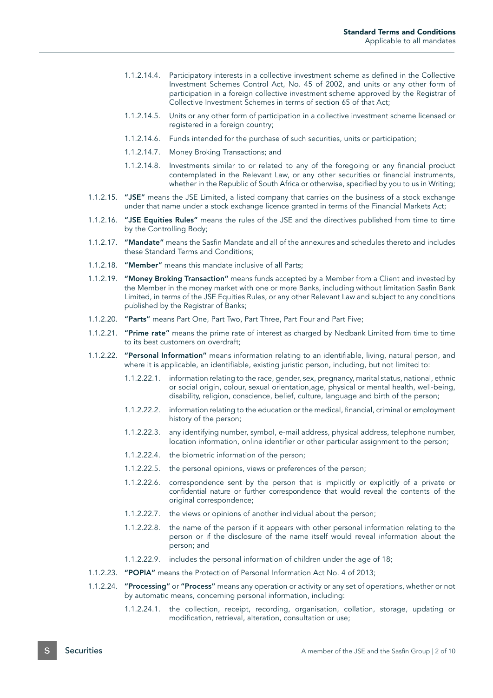- 1.1.2.14.4. Participatory interests in a collective investment scheme as defined in the Collective Investment Schemes Control Act, No. 45 of 2002, and units or any other form of participation in a foreign collective investment scheme approved by the Registrar of Collective Investment Schemes in terms of section 65 of that Act;
- 1.1.2.14.5. Units or any other form of participation in a collective investment scheme licensed or registered in a foreign country;
- 1.1.2.14.6. Funds intended for the purchase of such securities, units or participation;
- 1.1.2.14.7. Money Broking Transactions; and
- 1.1.2.14.8. Investments similar to or related to any of the foregoing or any financial product contemplated in the Relevant Law, or any other securities or financial instruments, whether in the Republic of South Africa or otherwise, specified by you to us in Writing;
- 1.1.2.15. "JSE" means the JSE Limited, a listed company that carries on the business of a stock exchange under that name under a stock exchange licence granted in terms of the Financial Markets Act;
- 1.1.2.16. "JSE Equities Rules" means the rules of the JSE and the directives published from time to time by the Controlling Body;
- 1.1.2.17. "Mandate" means the Sasfin Mandate and all of the annexures and schedules thereto and includes these Standard Terms and Conditions;
- 1.1.2.18. "Member" means this mandate inclusive of all Parts;
- 1.1.2.19. "Money Broking Transaction" means funds accepted by a Member from a Client and invested by the Member in the money market with one or more Banks, including without limitation Sasfin Bank Limited, in terms of the JSE Equities Rules, or any other Relevant Law and subject to any conditions published by the Registrar of Banks;
- 1.1.2.20. "Parts" means Part One, Part Two, Part Three, Part Four and Part Five;
- 1.1.2.21. "Prime rate" means the prime rate of interest as charged by Nedbank Limited from time to time to its best customers on overdraft;
- 1.1.2.22. ''Personal Information'' means information relating to an identifiable, living, natural person, and where it is applicable, an identifiable, existing juristic person, including, but not limited to:
	- 1.1.2.22.1. information relating to the race, gender, sex, pregnancy, marital status, national, ethnic or social origin, colour, sexual orientation,age, physical or mental health, well-being, disability, religion, conscience, belief, culture, language and birth of the person;
	- 1.1.2.22.2. information relating to the education or the medical, financial, criminal or employment history of the person;
	- 1.1.2.22.3. any identifying number, symbol, e-mail address, physical address, telephone number, location information, online identifier or other particular assignment to the person;
	- 1.1.2.22.4. the biometric information of the person;
	- 1.1.2.22.5. the personal opinions, views or preferences of the person;
	- 1.1.2.22.6. correspondence sent by the person that is implicitly or explicitly of a private or confidential nature or further correspondence that would reveal the contents of the original correspondence;
	- 1.1.2.22.7. the views or opinions of another individual about the person;
	- 1.1.2.22.8. the name of the person if it appears with other personal information relating to the person or if the disclosure of the name itself would reveal information about the person; and
	- 1.1.2.22.9. includes the personal information of children under the age of 18;
- 1.1.2.23. "POPIA" means the Protection of Personal Information Act No. 4 of 2013;
- 1.1.2.24. "Processing" or "Process" means any operation or activity or any set of operations, whether or not by automatic means, concerning personal information, including:
	- 1.1.2.24.1. the collection, receipt, recording, organisation, collation, storage, updating or modification, retrieval, alteration, consultation or use;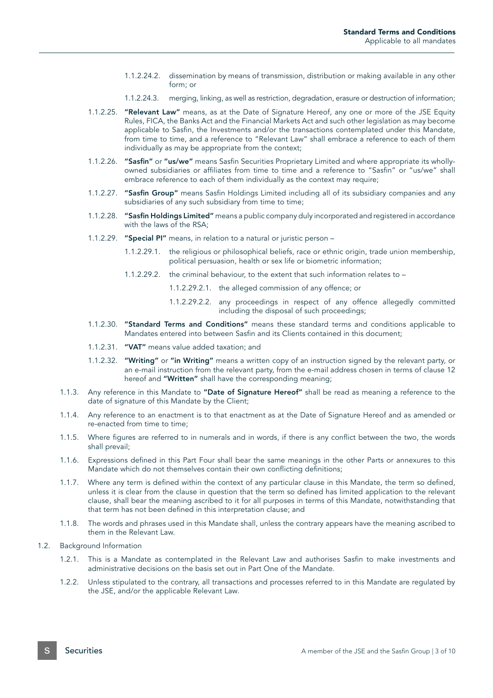- 1.1.2.24.2. dissemination by means of transmission, distribution or making available in any other form; or
- 1.1.2.24.3. merging, linking, as well as restriction, degradation, erasure or destruction of information;
- 1.1.2.25. "Relevant Law" means, as at the Date of Signature Hereof, any one or more of the JSE Equity Rules, FICA, the Banks Act and the Financial Markets Act and such other legislation as may become applicable to Sasfin, the Investments and/or the transactions contemplated under this Mandate, from time to time, and a reference to "Relevant Law" shall embrace a reference to each of them individually as may be appropriate from the context;
- 1.1.2.26. "Sasfin" or "us/we" means Sasfin Securities Proprietary Limited and where appropriate its whollyowned subsidiaries or affiliates from time to time and a reference to "Sasfin" or "us/we" shall embrace reference to each of them individually as the context may require;
- 1.1.2.27. "Sasfin Group" means Sasfin Holdings Limited including all of its subsidiary companies and any subsidiaries of any such subsidiary from time to time;
- 1.1.2.28. "Sasfin Holdings Limited" means a public company duly incorporated and registered in accordance with the laws of the RSA;
- 1.1.2.29. "Special PI" means, in relation to a natural or juristic person
	- 1.1.2.29.1. the religious or philosophical beliefs, race or ethnic origin, trade union membership, political persuasion, health or sex life or biometric information;
	- 1.1.2.29.2. the criminal behaviour, to the extent that such information relates to
		- 1.1.2.29.2.1. the alleged commission of any offence; or
		- 1.1.2.29.2.2. any proceedings in respect of any offence allegedly committed including the disposal of such proceedings;
- 1.1.2.30. "Standard Terms and Conditions" means these standard terms and conditions applicable to Mandates entered into between Sasfin and its Clients contained in this document;
- 1.1.2.31. "VAT" means value added taxation; and
- 1.1.2.32. "Writing" or "in Writing" means a written copy of an instruction signed by the relevant party, or an e-mail instruction from the relevant party, from the e-mail address chosen in terms of clause 12 hereof and "Written" shall have the corresponding meaning;
- 1.1.3. Any reference in this Mandate to "Date of Signature Hereof" shall be read as meaning a reference to the date of signature of this Mandate by the Client;
- 1.1.4. Any reference to an enactment is to that enactment as at the Date of Signature Hereof and as amended or re-enacted from time to time;
- 1.1.5. Where figures are referred to in numerals and in words, if there is any conflict between the two, the words shall prevail;
- 1.1.6. Expressions defined in this Part Four shall bear the same meanings in the other Parts or annexures to this Mandate which do not themselves contain their own conflicting definitions;
- 1.1.7. Where any term is defined within the context of any particular clause in this Mandate, the term so defined, unless it is clear from the clause in question that the term so defined has limited application to the relevant clause, shall bear the meaning ascribed to it for all purposes in terms of this Mandate, notwithstanding that that term has not been defined in this interpretation clause; and
- 1.1.8. The words and phrases used in this Mandate shall, unless the contrary appears have the meaning ascribed to them in the Relevant Law.
- 1.2. Background Information
	- 1.2.1. This is a Mandate as contemplated in the Relevant Law and authorises Sasfin to make investments and administrative decisions on the basis set out in Part One of the Mandate.
	- 1.2.2. Unless stipulated to the contrary, all transactions and processes referred to in this Mandate are regulated by the JSE, and/or the applicable Relevant Law.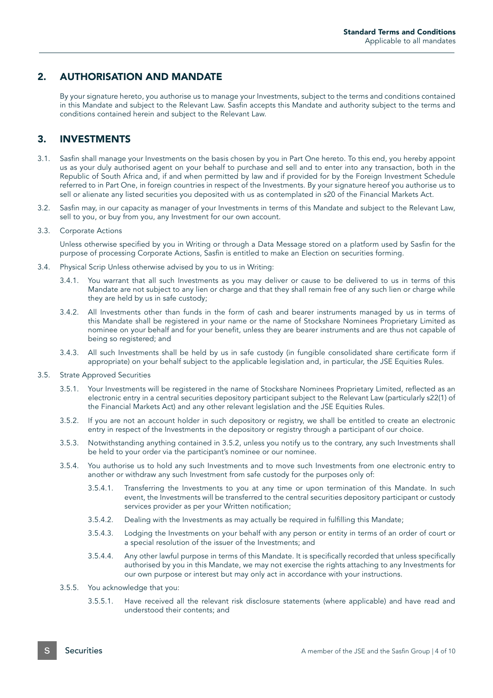## 2. AUTHORISATION AND MANDATE

By your signature hereto, you authorise us to manage your Investments, subject to the terms and conditions contained in this Mandate and subject to the Relevant Law. Sasfin accepts this Mandate and authority subject to the terms and conditions contained herein and subject to the Relevant Law.

## 3. INVESTMENTS

- 3.1. Sasfin shall manage your Investments on the basis chosen by you in Part One hereto. To this end, you hereby appoint us as your duly authorised agent on your behalf to purchase and sell and to enter into any transaction, both in the Republic of South Africa and, if and when permitted by law and if provided for by the Foreign Investment Schedule referred to in Part One, in foreign countries in respect of the Investments. By your signature hereof you authorise us to sell or alienate any listed securities you deposited with us as contemplated in s20 of the Financial Markets Act.
- 3.2. Sasfin may, in our capacity as manager of your Investments in terms of this Mandate and subject to the Relevant Law, sell to you, or buy from you, any Investment for our own account.
- 3.3. Corporate Actions

Unless otherwise specified by you in Writing or through a Data Message stored on a platform used by Sasfin for the purpose of processing Corporate Actions, Sasfin is entitled to make an Election on securities forming.

- 3.4. Physical Scrip Unless otherwise advised by you to us in Writing:
	- 3.4.1. You warrant that all such Investments as you may deliver or cause to be delivered to us in terms of this Mandate are not subject to any lien or charge and that they shall remain free of any such lien or charge while they are held by us in safe custody;
	- 3.4.2. All Investments other than funds in the form of cash and bearer instruments managed by us in terms of this Mandate shall be registered in your name or the name of Stockshare Nominees Proprietary Limited as nominee on your behalf and for your benefit, unless they are bearer instruments and are thus not capable of being so registered; and
	- 3.4.3. All such Investments shall be held by us in safe custody (in fungible consolidated share certificate form if appropriate) on your behalf subject to the applicable legislation and, in particular, the JSE Equities Rules.
- 3.5. Strate Approved Securities
	- 3.5.1. Your Investments will be registered in the name of Stockshare Nominees Proprietary Limited, reflected as an electronic entry in a central securities depository participant subject to the Relevant Law (particularly s22(1) of the Financial Markets Act) and any other relevant legislation and the JSE Equities Rules.
	- 3.5.2. If you are not an account holder in such depository or registry, we shall be entitled to create an electronic entry in respect of the Investments in the depository or registry through a participant of our choice.
	- 3.5.3. Notwithstanding anything contained in 3.5.2, unless you notify us to the contrary, any such Investments shall be held to your order via the participant's nominee or our nominee.
	- 3.5.4. You authorise us to hold any such Investments and to move such Investments from one electronic entry to another or withdraw any such Investment from safe custody for the purposes only of:
		- 3.5.4.1. Transferring the Investments to you at any time or upon termination of this Mandate. In such event, the Investments will be transferred to the central securities depository participant or custody services provider as per your Written notification;
		- 3.5.4.2. Dealing with the Investments as may actually be required in fulfilling this Mandate;
		- 3.5.4.3. Lodging the Investments on your behalf with any person or entity in terms of an order of court or a special resolution of the issuer of the Investments; and
		- 3.5.4.4. Any other lawful purpose in terms of this Mandate. It is specifically recorded that unless specifically authorised by you in this Mandate, we may not exercise the rights attaching to any Investments for our own purpose or interest but may only act in accordance with your instructions.
	- 3.5.5. You acknowledge that you:
		- 3.5.5.1. Have received all the relevant risk disclosure statements (where applicable) and have read and understood their contents; and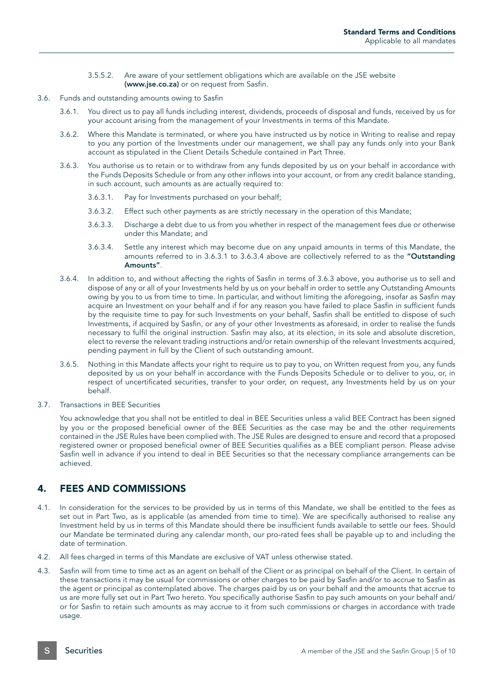- 3.5.5.2. Are aware of your settlement obligations which are available on the JSE website (www.jse.co.za) or on request from Sasfin.
- 3.6. Funds and outstanding amounts owing to Sasfin
	- 3.6.1. You direct us to pay all funds including interest, dividends, proceeds of disposal and funds, received by us for your account arising from the management of your Investments in terms of this Mandate.
	- 3.6.2. Where this Mandate is terminated, or where you have instructed us by notice in Writing to realise and repay to you any portion of the Investments under our management, we shall pay any funds only into your Bank account as stipulated in the Client Details Schedule contained in Part Three.
	- 3.6.3. You authorise us to retain or to withdraw from any funds deposited by us on your behalf in accordance with the Funds Deposits Schedule or from any other inflows into your account, or from any credit balance standing, in such account, such amounts as are actually required to:
		- 3.6.3.1. Pay for Investments purchased on your behalf;
		- 3.6.3.2. Effect such other payments as are strictly necessary in the operation of this Mandate;
		- 3.6.3.3. Discharge a debt due to us from you whether in respect of the management fees due or otherwise under this Mandate; and
		- 3.6.3.4. Settle any interest which may become due on any unpaid amounts in terms of this Mandate, the amounts referred to in 3.6.3.1 to 3.6.3.4 above are collectively referred to as the "Outstanding Amounts".
	- 3.6.4. In addition to, and without affecting the rights of Sasfin in terms of 3.6.3 above, you authorise us to sell and dispose of any or all of your Investments held by us on your behalf in order to settle any Outstanding Amounts owing by you to us from time to time. In particular, and without limiting the aforegoing, insofar as Sasfin may acquire an Investment on your behalf and if for any reason you have failed to place Sasfin in sufficient funds by the requisite time to pay for such Investments on your behalf, Sasfin shall be entitled to dispose of such Investments, if acquired by Sasfin, or any of your other Investments as aforesaid, in order to realise the funds necessary to fulfil the original instruction. Sasfin may also, at its election, in its sole and absolute discretion, elect to reverse the relevant trading instructions and/or retain ownership of the relevant Investments acquired, pending payment in full by the Client of such outstanding amount.
	- 3.6.5. Nothing in this Mandate affects your right to require us to pay to you, on Written request from you, any funds deposited by us on your behalf in accordance with the Funds Deposits Schedule or to deliver to you, or, in respect of uncertificated securities, transfer to your order, on request, any Investments held by us on your behalf.
- 3.7. Transactions in BEE Securities

You acknowledge that you shall not be entitled to deal in BEE Securities unless a valid BEE Contract has been signed by you or the proposed beneficial owner of the BEE Securities as the case may be and the other requirements contained in the JSE Rules have been complied with. The JSE Rules are designed to ensure and record that a proposed registered owner or proposed beneficial owner of BEE Securities qualifies as a BEE compliant person. Please advise Sasfin well in advance if you intend to deal in BEE Securities so that the necessary compliance arrangements can be achieved.

# 4. FEES AND COMMISSIONS

- 4.1. In consideration for the services to be provided by us in terms of this Mandate, we shall be entitled to the fees as set out in Part Two, as is applicable (as amended from time to time). We are specifically authorised to realise any Investment held by us in terms of this Mandate should there be insufficient funds available to settle our fees. Should our Mandate be terminated during any calendar month, our pro-rated fees shall be payable up to and including the date of termination.
- 4.2. All fees charged in terms of this Mandate are exclusive of VAT unless otherwise stated.
- 4.3. Sasfin will from time to time act as an agent on behalf of the Client or as principal on behalf of the Client. In certain of these transactions it may be usual for commissions or other charges to be paid by Sasfin and/or to accrue to Sasfin as the agent or principal as contemplated above. The charges paid by us on your behalf and the amounts that accrue to us are more fully set out in Part Two hereto. You specifically authorise Sasfin to pay such amounts on your behalf and/ or for Sasfin to retain such amounts as may accrue to it from such commissions or charges in accordance with trade usage.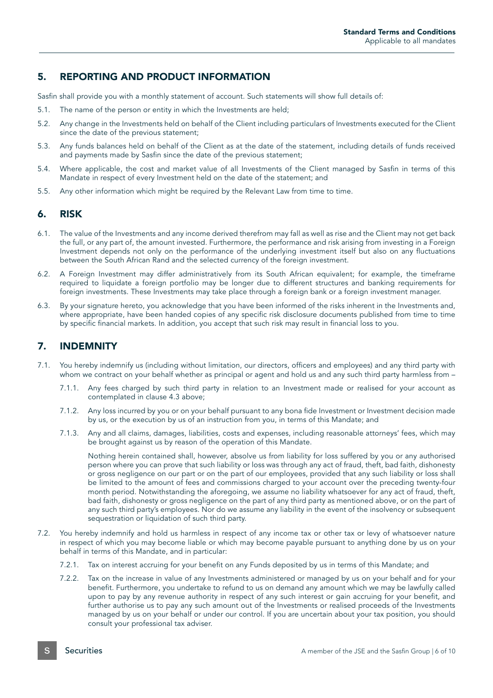## 5. REPORTING AND PRODUCT INFORMATION

Sasfin shall provide you with a monthly statement of account. Such statements will show full details of:

- 5.1. The name of the person or entity in which the Investments are held;
- 5.2. Any change in the Investments held on behalf of the Client including particulars of Investments executed for the Client since the date of the previous statement;
- 5.3. Any funds balances held on behalf of the Client as at the date of the statement, including details of funds received and payments made by Sasfin since the date of the previous statement;
- 5.4. Where applicable, the cost and market value of all Investments of the Client managed by Sasfin in terms of this Mandate in respect of every Investment held on the date of the statement; and
- 5.5. Any other information which might be required by the Relevant Law from time to time.

### 6. RISK

- 6.1. The value of the Investments and any income derived therefrom may fall as well as rise and the Client may not get back the full, or any part of, the amount invested. Furthermore, the performance and risk arising from investing in a Foreign Investment depends not only on the performance of the underlying investment itself but also on any fluctuations between the South African Rand and the selected currency of the foreign investment.
- 6.2. A Foreign Investment may differ administratively from its South African equivalent; for example, the timeframe required to liquidate a foreign portfolio may be longer due to different structures and banking requirements for foreign investments. These Investments may take place through a foreign bank or a foreign investment manager.
- 6.3. By your signature hereto, you acknowledge that you have been informed of the risks inherent in the Investments and, where appropriate, have been handed copies of any specific risk disclosure documents published from time to time by specific financial markets. In addition, you accept that such risk may result in financial loss to you.

# 7. INDEMNITY

- 7.1. You hereby indemnify us (including without limitation, our directors, officers and employees) and any third party with whom we contract on your behalf whether as principal or agent and hold us and any such third party harmless from -
	- 7.1.1. Any fees charged by such third party in relation to an Investment made or realised for your account as contemplated in clause 4.3 above;
	- 7.1.2. Any loss incurred by you or on your behalf pursuant to any bona fide Investment or Investment decision made by us, or the execution by us of an instruction from you, in terms of this Mandate; and
	- 7.1.3. Any and all claims, damages, liabilities, costs and expenses, including reasonable attorneys' fees, which may be brought against us by reason of the operation of this Mandate.

Nothing herein contained shall, however, absolve us from liability for loss suffered by you or any authorised person where you can prove that such liability or loss was through any act of fraud, theft, bad faith, dishonesty or gross negligence on our part or on the part of our employees, provided that any such liability or loss shall be limited to the amount of fees and commissions charged to your account over the preceding twenty-four month period. Notwithstanding the aforegoing, we assume no liability whatsoever for any act of fraud, theft, bad faith, dishonesty or gross negligence on the part of any third party as mentioned above, or on the part of any such third party's employees. Nor do we assume any liability in the event of the insolvency or subsequent sequestration or liquidation of such third party.

- 7.2. You hereby indemnify and hold us harmless in respect of any income tax or other tax or levy of whatsoever nature in respect of which you may become liable or which may become payable pursuant to anything done by us on your behalf in terms of this Mandate, and in particular:
	- 7.2.1. Tax on interest accruing for your benefit on any Funds deposited by us in terms of this Mandate; and
	- 7.2.2. Tax on the increase in value of any Investments administered or managed by us on your behalf and for your benefit. Furthermore, you undertake to refund to us on demand any amount which we may be lawfully called upon to pay by any revenue authority in respect of any such interest or gain accruing for your benefit, and further authorise us to pay any such amount out of the Investments or realised proceeds of the Investments managed by us on your behalf or under our control. If you are uncertain about your tax position, you should consult your professional tax adviser.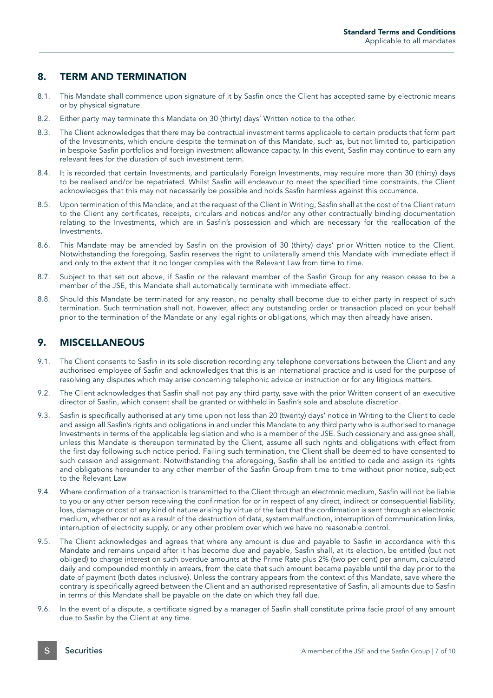## 8. TERM AND TERMINATION

- 8.1. This Mandate shall commence upon signature of it by Sasfin once the Client has accepted same by electronic means or by physical signature.
- 8.2. Either party may terminate this Mandate on 30 (thirty) days' Written notice to the other.
- 8.3. The Client acknowledges that there may be contractual investment terms applicable to certain products that form part of the Investments, which endure despite the termination of this Mandate, such as, but not limited to, participation in bespoke Sasfin portfolios and foreign investment allowance capacity. In this event, Sasfin may continue to earn any relevant fees for the duration of such investment term.
- 8.4. It is recorded that certain Investments, and particularly Foreign Investments, may require more than 30 (thirty) days to be realised and/or be repatriated. Whilst Sasfin will endeavour to meet the specified time constraints, the Client acknowledges that this may not necessarily be possible and holds Sasfin harmless against this occurrence.
- 8.5. Upon termination of this Mandate, and at the request of the Client in Writing, Sasfin shall at the cost of the Client return to the Client any certificates, receipts, circulars and notices and/or any other contractually binding documentation relating to the Investments, which are in Sasfin's possession and which are necessary for the reallocation of the Investments.
- 8.6. This Mandate may be amended by Sasfin on the provision of 30 (thirty) days' prior Written notice to the Client. Notwithstanding the foregoing, Sasfin reserves the right to unilaterally amend this Mandate with immediate effect if and only to the extent that it no longer complies with the Relevant Law from time to time.
- 8.7. Subject to that set out above, if Sasfin or the relevant member of the Sasfin Group for any reason cease to be a member of the JSE, this Mandate shall automatically terminate with immediate effect.
- 8.8. Should this Mandate be terminated for any reason, no penalty shall become due to either party in respect of such termination. Such termination shall not, however, affect any outstanding order or transaction placed on your behalf prior to the termination of the Mandate or any legal rights or obligations, which may then already have arisen.

### 9. MISCELLANEOUS

- 9.1. The Client consents to Sasfin in its sole discretion recording any telephone conversations between the Client and any authorised employee of Sasfin and acknowledges that this is an international practice and is used for the purpose of resolving any disputes which may arise concerning telephonic advice or instruction or for any litigious matters.
- 9.2. The Client acknowledges that Sasfin shall not pay any third party, save with the prior Written consent of an executive director of Sasfin, which consent shall be granted or withheld in Sasfin's sole and absolute discretion.
- 9.3. Sasfin is specifically authorised at any time upon not less than 20 (twenty) days' notice in Writing to the Client to cede and assign all Sasfin's rights and obligations in and under this Mandate to any third party who is authorised to manage Investments in terms of the applicable legislation and who is a member of the JSE. Such cessionary and assignee shall, unless this Mandate is thereupon terminated by the Client, assume all such rights and obligations with effect from the first day following such notice period. Failing such termination, the Client shall be deemed to have consented to such cession and assignment. Notwithstanding the aforegoing, Sasfin shall be entitled to cede and assign its rights and obligations hereunder to any other member of the Sasfin Group from time to time without prior notice, subject to the Relevant Law
- 9.4. Where confirmation of a transaction is transmitted to the Client through an electronic medium, Sasfin will not be liable to you or any other person receiving the confirmation for or in respect of any direct, indirect or consequential liability, loss, damage or cost of any kind of nature arising by virtue of the fact that the confirmation is sent through an electronic medium, whether or not as a result of the destruction of data, system malfunction, interruption of communication links, interruption of electricity supply, or any other problem over which we have no reasonable control.
- 9.5. The Client acknowledges and agrees that where any amount is due and payable to Sasfin in accordance with this Mandate and remains unpaid after it has become due and payable, Sasfin shall, at its election, be entitled (but not obliged) to charge interest on such overdue amounts at the Prime Rate plus 2% (two per cent) per annum, calculated daily and compounded monthly in arrears, from the date that such amount became payable until the day prior to the date of payment (both dates inclusive). Unless the contrary appears from the context of this Mandate, save where the contrary is specifically agreed between the Client and an authorised representative of Sasfin, all amounts due to Sasfin in terms of this Mandate shall be payable on the date on which they fall due.
- 9.6. In the event of a dispute, a certificate signed by a manager of Sasfin shall constitute prima facie proof of any amount due to Sasfin by the Client at any time.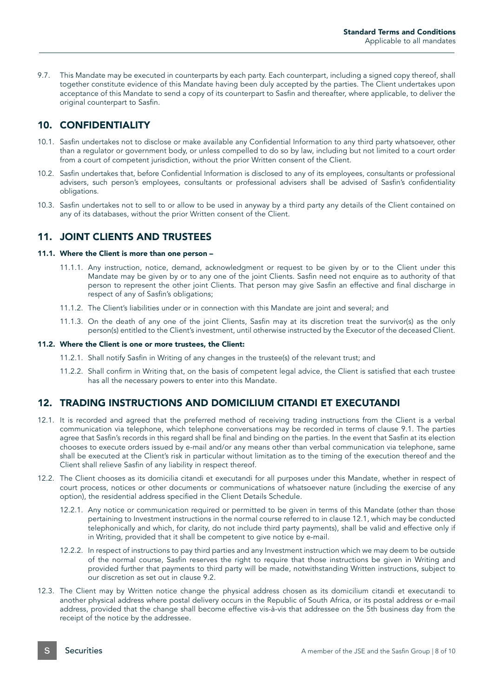9.7. This Mandate may be executed in counterparts by each party. Each counterpart, including a signed copy thereof, shall together constitute evidence of this Mandate having been duly accepted by the parties. The Client undertakes upon acceptance of this Mandate to send a copy of its counterpart to Sasfin and thereafter, where applicable, to deliver the original counterpart to Sasfin.

# 10. CONFIDENTIALITY

- 10.1. Sasfin undertakes not to disclose or make available any Confidential Information to any third party whatsoever, other than a regulator or government body, or unless compelled to do so by law, including but not limited to a court order from a court of competent jurisdiction, without the prior Written consent of the Client.
- 10.2. Sasfin undertakes that, before Confidential Information is disclosed to any of its employees, consultants or professional advisers, such person's employees, consultants or professional advisers shall be advised of Sasfin's confidentiality obligations.
- 10.3. Sasfin undertakes not to sell to or allow to be used in anyway by a third party any details of the Client contained on any of its databases, without the prior Written consent of the Client.

# 11. JOINT CLIENTS AND TRUSTEES

#### 11.1. Where the Client is more than one person –

- 11.1.1. Any instruction, notice, demand, acknowledgment or request to be given by or to the Client under this Mandate may be given by or to any one of the joint Clients. Sasfin need not enquire as to authority of that person to represent the other joint Clients. That person may give Sasfin an effective and final discharge in respect of any of Sasfin's obligations;
- 11.1.2. The Client's liabilities under or in connection with this Mandate are joint and several; and
- 11.1.3. On the death of any one of the joint Clients, Sasfin may at its discretion treat the survivor(s) as the only person(s) entitled to the Client's investment, until otherwise instructed by the Executor of the deceased Client.

#### 11.2. Where the Client is one or more trustees, the Client:

- 11.2.1. Shall notify Sasfin in Writing of any changes in the trustee(s) of the relevant trust; and
- 11.2.2. Shall confirm in Writing that, on the basis of competent legal advice, the Client is satisfied that each trustee has all the necessary powers to enter into this Mandate.

# 12. TRADING INSTRUCTIONS AND DOMICILIUM CITANDI ET EXECUTANDI

- 12.1. It is recorded and agreed that the preferred method of receiving trading instructions from the Client is a verbal communication via telephone, which telephone conversations may be recorded in terms of clause 9.1. The parties agree that Sasfin's records in this regard shall be final and binding on the parties. In the event that Sasfin at its election chooses to execute orders issued by e-mail and/or any means other than verbal communication via telephone, same shall be executed at the Client's risk in particular without limitation as to the timing of the execution thereof and the Client shall relieve Sasfin of any liability in respect thereof.
- 12.2. The Client chooses as its domicilia citandi et executandi for all purposes under this Mandate, whether in respect of court process, notices or other documents or communications of whatsoever nature (including the exercise of any option), the residential address specified in the Client Details Schedule.
	- 12.2.1. Any notice or communication required or permitted to be given in terms of this Mandate (other than those pertaining to Investment instructions in the normal course referred to in clause 12.1, which may be conducted telephonically and which, for clarity, do not include third party payments), shall be valid and effective only if in Writing, provided that it shall be competent to give notice by e-mail.
	- 12.2.2. In respect of instructions to pay third parties and any Investment instruction which we may deem to be outside of the normal course, Sasfin reserves the right to require that those instructions be given in Writing and provided further that payments to third party will be made, notwithstanding Written instructions, subject to our discretion as set out in clause 9.2.
- 12.3. The Client may by Written notice change the physical address chosen as its domicilium citandi et executandi to another physical address where postal delivery occurs in the Republic of South Africa, or its postal address or e-mail address, provided that the change shall become effective vis-à-vis that addressee on the 5th business day from the receipt of the notice by the addressee.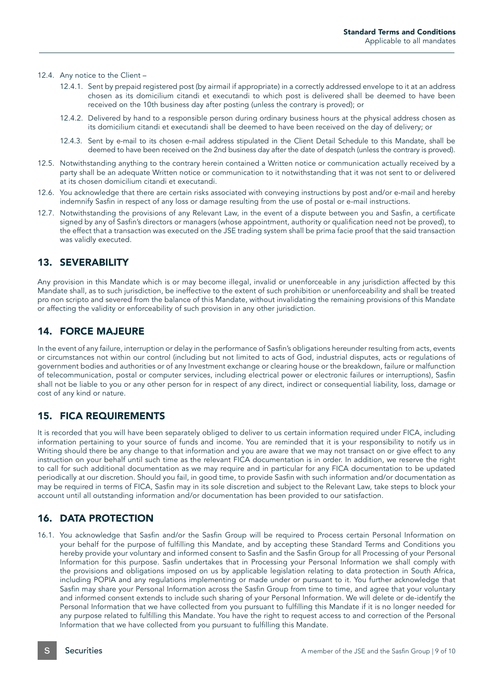#### 12.4. Any notice to the Client –

- 12.4.1. Sent by prepaid registered post (by airmail if appropriate) in a correctly addressed envelope to it at an address chosen as its domicilium citandi et executandi to which post is delivered shall be deemed to have been received on the 10th business day after posting (unless the contrary is proved); or
- 12.4.2. Delivered by hand to a responsible person during ordinary business hours at the physical address chosen as its domicilium citandi et executandi shall be deemed to have been received on the day of delivery; or
- 12.4.3. Sent by e-mail to its chosen e-mail address stipulated in the Client Detail Schedule to this Mandate, shall be deemed to have been received on the 2nd business day after the date of despatch (unless the contrary is proved).
- 12.5. Notwithstanding anything to the contrary herein contained a Written notice or communication actually received by a party shall be an adequate Written notice or communication to it notwithstanding that it was not sent to or delivered at its chosen domicilium citandi et executandi.
- 12.6. You acknowledge that there are certain risks associated with conveying instructions by post and/or e-mail and hereby indemnify Sasfin in respect of any loss or damage resulting from the use of postal or e-mail instructions.
- 12.7. Notwithstanding the provisions of any Relevant Law, in the event of a dispute between you and Sasfin, a certificate signed by any of Sasfin's directors or managers (whose appointment, authority or qualification need not be proved), to the effect that a transaction was executed on the JSE trading system shall be prima facie proof that the said transaction was validly executed.

### 13. SEVERABILITY

Any provision in this Mandate which is or may become illegal, invalid or unenforceable in any jurisdiction affected by this Mandate shall, as to such jurisdiction, be ineffective to the extent of such prohibition or unenforceability and shall be treated pro non scripto and severed from the balance of this Mandate, without invalidating the remaining provisions of this Mandate or affecting the validity or enforceability of such provision in any other jurisdiction.

#### 14. FORCE MAJEURE

In the event of any failure, interruption or delay in the performance of Sasfin's obligations hereunder resulting from acts, events or circumstances not within our control (including but not limited to acts of God, industrial disputes, acts or regulations of government bodies and authorities or of any Investment exchange or clearing house or the breakdown, failure or malfunction of telecommunication, postal or computer services, including electrical power or electronic failures or interruptions), Sasfin shall not be liable to you or any other person for in respect of any direct, indirect or consequential liability, loss, damage or cost of any kind or nature.

### 15. FICA REQUIREMENTS

It is recorded that you will have been separately obliged to deliver to us certain information required under FICA, including information pertaining to your source of funds and income. You are reminded that it is your responsibility to notify us in Writing should there be any change to that information and you are aware that we may not transact on or give effect to any instruction on your behalf until such time as the relevant FICA documentation is in order. In addition, we reserve the right to call for such additional documentation as we may require and in particular for any FICA documentation to be updated periodically at our discretion. Should you fail, in good time, to provide Sasfin with such information and/or documentation as may be required in terms of FICA, Sasfin may in its sole discretion and subject to the Relevant Law, take steps to block your account until all outstanding information and/or documentation has been provided to our satisfaction.

### 16. DATA PROTECTION

16.1. You acknowledge that Sasfin and/or the Sasfin Group will be required to Process certain Personal Information on your behalf for the purpose of fulfilling this Mandate, and by accepting these Standard Terms and Conditions you hereby provide your voluntary and informed consent to Sasfin and the Sasfin Group for all Processing of your Personal Information for this purpose. Sasfin undertakes that in Processing your Personal Information we shall comply with the provisions and obligations imposed on us by applicable legislation relating to data protection in South Africa, including POPIA and any regulations implementing or made under or pursuant to it. You further acknowledge that Sasfin may share your Personal Information across the Sasfin Group from time to time, and agree that your voluntary and informed consent extends to include such sharing of your Personal Information. We will delete or de-identify the Personal Information that we have collected from you pursuant to fulfilling this Mandate if it is no longer needed for any purpose related to fulfilling this Mandate. You have the right to request access to and correction of the Personal Information that we have collected from you pursuant to fulfilling this Mandate.